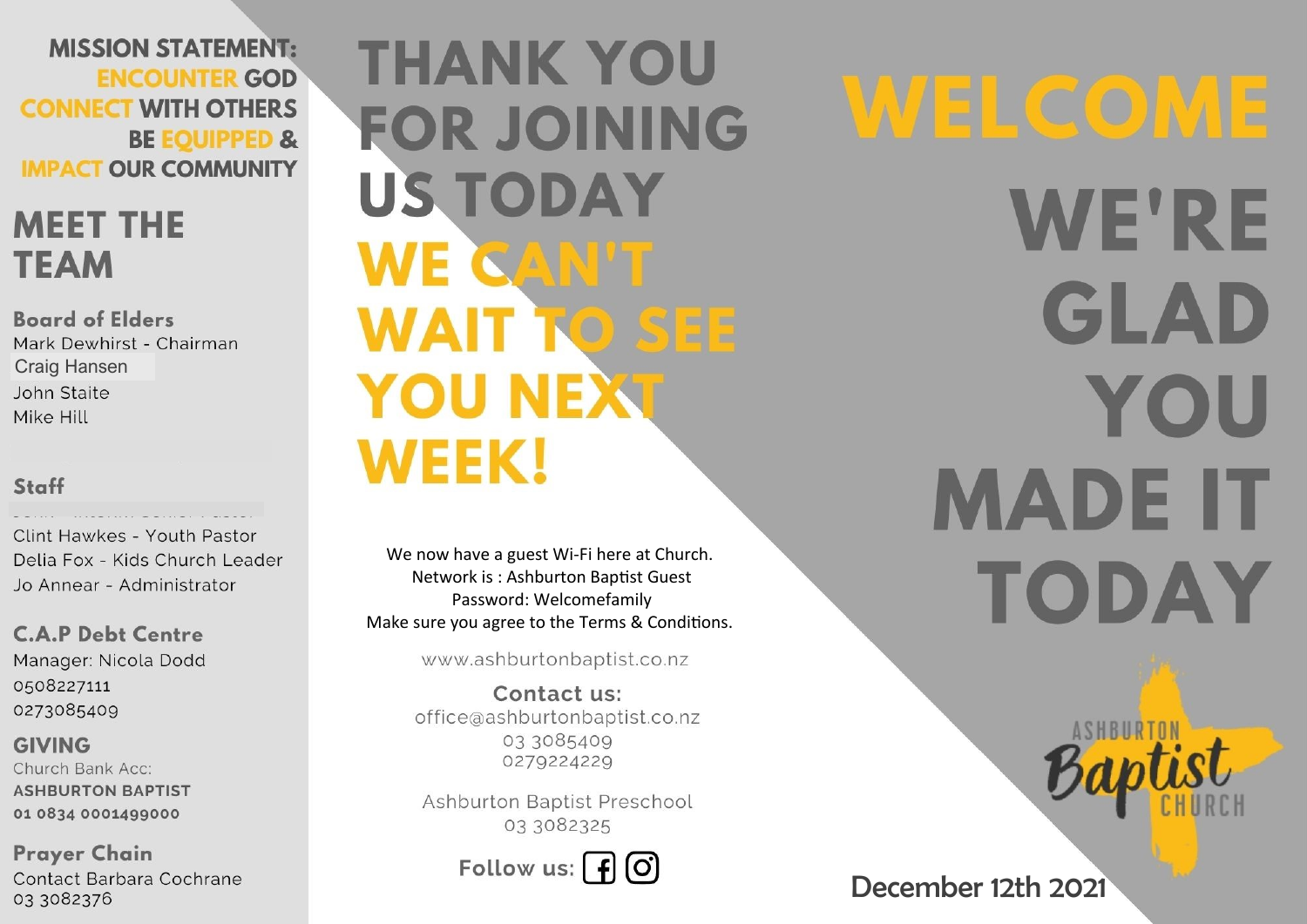**MISSION STATEMENT: ENCOUNTER GOD CONNECT WITH OTHERS BE EQUIPPED & IMPACT OUR COMMUNITY** 

# **MEET THE TEAM**

**Board of Elders** Mark Dewhirst - Chairman **Craig Hansen** John Staite Mike Hill

### Staff

Clint Hawkes - Youth Pastor Delia Fox - Kids Church Leader Jo Annear - Administrator

**C.A.P Debt Centre** Manager: Nicola Dodd 0508227111 0273085409

**GIVING** Church Bank Acc: **ASHBURTON BAPTIST** 01 0834 0001499000

**Prayer Chain** Contact Barbara Cochrane 03 3082376

**THANK YOU FOR JOINING US TODAY** WE CAN'T **WAIT TO SEE YOU NEXT WEEK!** 

We now have a guest Wi-Fi here at Church. Network is: Ashburton Baptist Guest Password: Welcomefamily Make sure you agree to the Terms & Conditions.

www.ashburtonbaptist.co.nz

Contact us: office@ashburtonbaptist.co.nz 03 3085409 0279224229

Ashburton Baptist Preschool 03 3082325

Follow us:  $\int f(x)$ 

WELCOME **WE'RE** GLAD YOU **MADE IT** TODAY

December 12th 2021